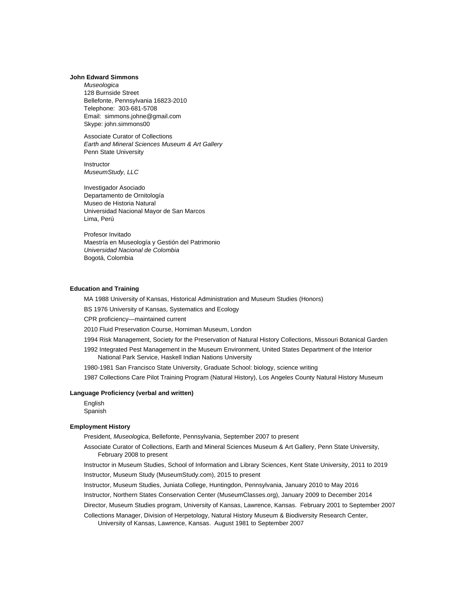# **John Edward Simmons**

*Museologica* 128 Burnside Street Bellefonte, Pennsylvania 16823-2010 Telephone: 303-681-5708 Email: [simmons.johne@gmail.com](mailto:simmons.johne@gmail.com) Skype: john.simmons00

Associate Curator of Collections *Earth and Mineral Sciences Museum & Art Gallery* Penn State University

**Instructor** *MuseumStudy, LLC*

Investigador Asociado Departamento de Ornitología Museo de Historia Natural Universidad Nacional Mayor de San Marcos Lima, Perú

Profesor Invitado Maestría en Museología y Gestión del Patrimonio *Universidad Nacional de Colombia* Bogotá, Colombia

### **Education and Training**

MA 1988 University of Kansas, Historical Administration and Museum Studies (Honors)

BS 1976 University of Kansas, Systematics and Ecology

CPR proficiency—maintained current

2010 Fluid Preservation Course, Horniman Museum, London

1994 Risk Management, Society for the Preservation of Natural History Collections, Missouri Botanical Garden

1992 Integrated Pest Management in the Museum Environment, United States Department of the Interior National Park Service, Haskell Indian Nations University

1980-1981 San Francisco State University, Graduate School: biology, science writing

1987 Collections Care Pilot Training Program (Natural History), Los Angeles County Natural History Museum

## **Language Proficiency (verbal and written)**

English Spanish

# **Employment History**

President, *Museologica*, Bellefonte, Pennsylvania, September 2007 to present

Associate Curator of Collections, Earth and Mineral Sciences Museum & Art Gallery, Penn State University, February 2008 to present

Instructor in Museum Studies, School of Information and Library Sciences, Kent State University, 2011 to 2019

Instructor, Museum Study (MuseumStudy.com), 2015 to present

Instructor, Museum Studies, Juniata College, Huntingdon, Pennsylvania, January 2010 to May 2016

Instructor, Northern States Conservation Center (MuseumClasses.org), January 2009 to December 2014

Director, Museum Studies program, University of Kansas, Lawrence, Kansas. February 2001 to September 2007

Collections Manager, Division of Herpetology, Natural History Museum & Biodiversity Research Center, University of Kansas, Lawrence, Kansas. August 1981 to September 2007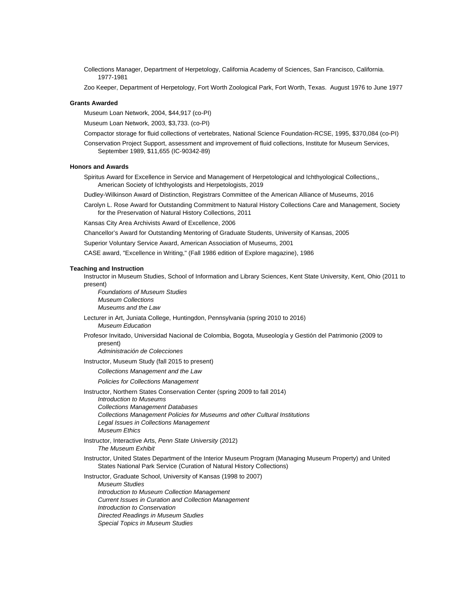Collections Manager, Department of Herpetology, California Academy of Sciences, San Francisco, California. 1977-1981

Zoo Keeper, Department of Herpetology, Fort Worth Zoological Park, Fort Worth, Texas. August 1976 to June 1977

### **Grants Awarded**

Museum Loan Network, 2004, \$44,917 (co-PI)

Museum Loan Network, 2003, \$3,733. (co-PI)

Compactor storage for fluid collections of vertebrates, National Science Foundation-RCSE, 1995, \$370,084 (co-PI)

Conservation Project Support, assessment and improvement of fluid collections, Institute for Museum Services, September 1989, \$11,655 (IC-90342-89)

# **Honors and Awards**

Spiritus Award for Excellence in Service and Management of Herpetological and Ichthyological Collections,, American Society of Ichthyologists and Herpetologists, 2019

Dudley-Wilkinson Award of Distinction, Registrars Committee of the American Alliance of Museums, 2016

Carolyn L. Rose Award for Outstanding Commitment to Natural History Collections Care and Management, Society for the Preservation of Natural History Collections, 2011

Kansas City Area Archivists Award of Excellence, 2006

Chancellor's Award for Outstanding Mentoring of Graduate Students, University of Kansas, 2005

Superior Voluntary Service Award, American Association of Museums, 2001

CASE award, "Excellence in Writing," (Fall 1986 edition of Explore magazine), 1986

### **Teaching and Instruction**

Instructor in Museum Studies, School of Information and Library Sciences, Kent State University, Kent, Ohio (2011 to present)

*Foundations of Museum Studies Museum Collections Museums and the Law*

Lecturer in Art, Juniata College, Huntingdon, Pennsylvania (spring 2010 to 2016)

*Museum Education*

Profesor Invitado, Universidad Nacional de Colombia, Bogota, Museología y Gestión del Patrimonio (2009 to present)

*Administración de Colecciones*

Instructor, Museum Study (fall 2015 to present)

*Collections Management and the Law*

*Policies for Collections Management*

Instructor, Northern States Conservation Center (spring 2009 to fall 2014)

*Introduction to Museums Collections Management Databases Collections Management Policies for Museums and other Cultural Institutions Legal Issues in Collections Management Museum Ethics*

Instructor, Interactive Arts, *Penn State University* (2012) *The Museum Exhibit*

Instructor, United States Department of the Interior Museum Program (Managing Museum Property) and United States National Park Service (Curation of Natural History Collections)

Instructor, Graduate School, University of Kansas (1998 to 2007) *Museum Studies Introduction to Museum Collection Management Current Issues in Curation and Collection Management Introduction to Conservation Directed Readings in Museum Studies Special Topics in Museum Studies*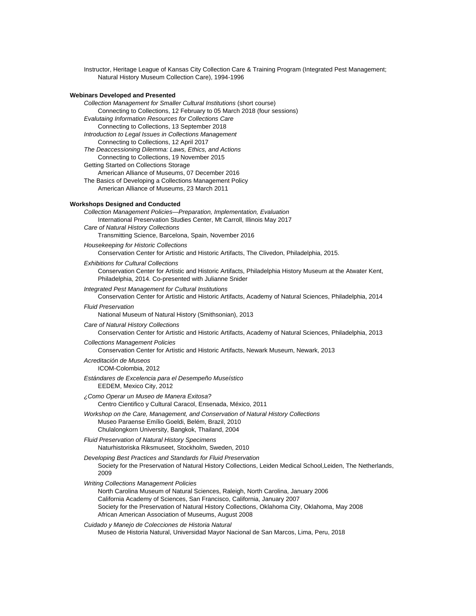Instructor, Heritage League of Kansas City Collection Care & Training Program (Integrated Pest Management; Natural History Museum Collection Care), 1994-1996

## **Webinars Developed and Presented**

*Collection Management for Smaller Cultural Institutions* (short course)

Connecting to Collections, 12 February to 05 March 2018 (four sessions)

*Evalutaing Information Resources for Collections Care*

Connecting to Collections, 13 September 2018 *Introduction to Legal Issues in Collections Management*

Connecting to Collections, 12 April 2017

*The Deaccessioning Dilemma: Laws, Ethics, and Actions*

Connecting to Collections, 19 November 2015

Getting Started on Collections Storage

American Alliance of Museums, 07 December 2016

The Basics of Developing a Collections Management Policy American Alliance of Museums, 23 March 2011

# **Workshops Designed and Conducted**

*Collection Management Policies—Preparation, Implementation, Evaluation* International Preservation Studies Center, Mt Carroll, Illinois May 2017

*Care of Natural History Collections*

Transmitting Science, Barcelona, Spain, November 2016

*Housekeeping for Historic Collections*

Conservation Center for Artistic and Historic Artifacts, The Clivedon, Philadelphia, 2015.

## *Exhibitions for Cultural Collections*

Conservation Center for Artistic and Historic Artifacts, Philadelphia History Museum at the Atwater Kent, Philadelphia, 2014. Co-presented with Julianne Snider

### *Integrated Pest Management for Cultural Institutions*

Conservation Center for Artistic and Historic Artifacts, Academy of Natural Sciences, Philadelphia, 2014

### *Fluid Preservation*

National Museum of Natural History (Smithsonian), 2013

### *Care of Natural History Collections*

Conservation Center for Artistic and Historic Artifacts, Academy of Natural Sciences, Philadelphia, 2013 *Collections Management Policies*

Conservation Center for Artistic and Historic Artifacts, Newark Museum, Newark, 2013

### *Acreditación de Museos*

ICOM-Colombia, 2012

# *Estándares de Excelencia para el Desempeño Museístico*

EEDEM, Mexico City, 2012

- *¿Como Operar un Museo de Manera Exitosa?* Centro Cientifico y Cultural Caracol, Ensenada, México, 2011
- *Workshop on the Care, Management, and Conservation of Natural History Collections* Museo Paraense Emílio Goeldi, Belém, Brazil, 2010 Chulalongkorn University, Bangkok, Thailand, 2004

### *Fluid Preservation of Natural History Specimens* Naturhistoriska Riksmuseet, Stockholm, Sweden, 2010

- *Developing Best Practices and Standards for Fluid Preservation* Society for the Preservation of Natural History Collections, Leiden Medical School,Leiden, The Netherlands, 2009
- *Writing Collections Management Policies*
	- North Carolina Museum of Natural Sciences, Raleigh, North Carolina, January 2006 California Academy of Sciences, San Francisco, California, January 2007 Society for the Preservation of Natural History Collections, Oklahoma City, Oklahoma, May 2008 African American Association of Museums, August 2008

### *Cuidado y Manejo de Colecciones de Historia Natural*

Museo de Historia Natural, Universidad Mayor Nacional de San Marcos, Lima, Peru, 2018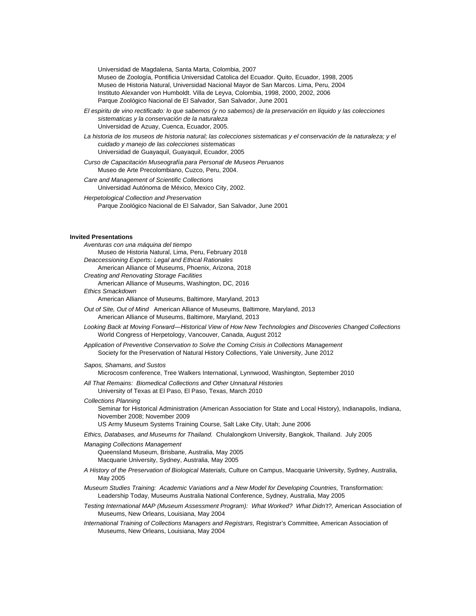Universidad de Magdalena, Santa Marta, Colombia, 2007 Museo de Zoología, Pontificia Universidad Catolica del Ecuador. Quito, Ecuador, 1998, 2005 Museo de Historia Natural, Universidad Nacional Mayor de San Marcos. Lima, Peru, 2004 Instituto Alexander von Humboldt. Villa de Leyva, Colombia, 1998, 2000, 2002, 2006 Parque Zoológico Nacional de El Salvador, San Salvador, June 2001

- *El espiritu de vino rectificado: lo que sabemos (y no sabemos) de la preservación en líquido y las colecciones sistematicas y la conservación de la naturaleza* Universidad de Azuay, Cuenca, Ecuador, 2005.
- La historia de los museos de historia natural; las colecciones sistematicas y el conservación de la naturaleza; y el *cuidado y manejo de las colecciones sistematicas* Universidad de Guayaquil, Guayaquil, Ecuador, 2005
- *Curso de Capacitación Museografía para Personal de Museos Peruanos* Museo de Arte Precolombiano, Cuzco, Peru, 2004.
- *Care and Management of Scientific Collections* Universidad Autónoma de México, Mexico City, 2002. *Herpetological Collection and Preservation*
	- Parque Zoológico Nacional de El Salvador, San Salvador, June 2001

# **Invited Presentations**

| Aventuras con una máquina del tiempo                                                                                                                                                                                                                       |  |
|------------------------------------------------------------------------------------------------------------------------------------------------------------------------------------------------------------------------------------------------------------|--|
| Museo de Historia Natural, Lima, Peru, February 2018                                                                                                                                                                                                       |  |
| Deaccessioning Experts: Legal and Ethical Rationales                                                                                                                                                                                                       |  |
| American Alliance of Museums, Phoenix, Arizona, 2018<br><b>Creating and Renovating Storage Facilities</b>                                                                                                                                                  |  |
| American Alliance of Museums, Washington, DC, 2016                                                                                                                                                                                                         |  |
| Ethics Smackdown                                                                                                                                                                                                                                           |  |
| American Alliance of Museums, Baltimore, Maryland, 2013                                                                                                                                                                                                    |  |
| Out of Site, Out of Mind American Alliance of Museums, Baltimore, Maryland, 2013<br>American Alliance of Museums, Baltimore, Maryland, 2013                                                                                                                |  |
| Looking Back at Moving Forward—Historical View of How New Technologies and Discoveries Changed Collections<br>World Congress of Herpetology, Vancouver, Canada, August 2012                                                                                |  |
| Application of Preventive Conservation to Solve the Coming Crisis in Collections Management<br>Society for the Preservation of Natural History Collections, Yale University, June 2012                                                                     |  |
| Sapos, Shamans, and Sustos<br>Microcosm conference, Tree Walkers International, Lynnwood, Washington, September 2010                                                                                                                                       |  |
| All That Remains: Biomedical Collections and Other Unnatural Histories<br>University of Texas at El Paso, El Paso, Texas, March 2010                                                                                                                       |  |
| <b>Collections Planning</b><br>Seminar for Historical Administration (American Association for State and Local History), Indianapolis, Indiana,<br>November 2008; November 2009<br>US Army Museum Systems Training Course, Salt Lake City, Utah; June 2006 |  |
| Ethics, Databases, and Museums for Thailand. Chulalongkorn University, Bangkok, Thailand. July 2005                                                                                                                                                        |  |
| <b>Managing Collections Management</b><br>Queensland Museum, Brisbane, Australia, May 2005<br>Macquarie University, Sydney, Australia, May 2005                                                                                                            |  |
| A History of the Preservation of Biological Materials, Culture on Campus, Macquarie University, Sydney, Australia,<br>May 2005                                                                                                                             |  |
| Museum Studies Training: Academic Variations and a New Model for Developing Countries, Transformation:<br>Leadership Today, Museums Australia National Conference, Sydney, Australia, May 2005                                                             |  |
| Testing International MAP (Museum Assessment Program): What Worked? What Didn't?, American Association of<br>Museums, New Orleans, Louisiana, May 2004                                                                                                     |  |
| International Training of Collections Managers and Registrars Registrar's Committee, American Association of                                                                                                                                               |  |

*International Training of Collections Managers and Registrars,* Registrar's Committee, American Association of Museums, New Orleans, Louisiana, May 2004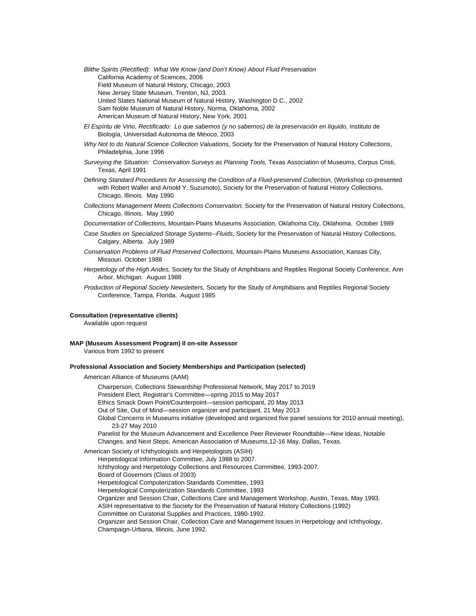*Blithe Spirits (Rectified): What We Know (and Don't Know) About Fluid Preservation*  California Academy of Sciences, 2006 Field Museum of Natural History, Chicago, 2003 New Jersey State Museum, Trenton, NJ, 2003. United States National Museum of Natural History, Washington D.C., 2002 Sam Noble Museum of Natural History, Norma, Oklahoma, 2002 American Museum of Natural History, New York, 2001

- *El Espíritu de Vino, Rectificado: Lo que sabemos (y no sabemos) de la preservación en líquido,* Instituto de Biología, Universidad Autonoma de México, 2003
- *Why Not to do Natural Science Collection Valuations,* Society for the Preservation of Natural History Collections, Philadelphia, June 1996
- *Surveying the Situation: Conservation Surveys as Planning Tools,* Texas Association of Museums, Corpus Cristi, Texas, April 1991
- *Defining Standard Procedures for Assessing the Condition of a Fluid-preserved Collection,* (Workshop co-presented with Robert Waller and Arnold Y. Suzumoto), Society for the Preservation of Natural History Collections, Chicago, Illinois. May 1990
- *Collections Management Meets Collections Conservation,* Society for the Preservation of Natural History Collections, Chicago, Illinois. May 1990
- *Documentation of Collections,* Mountain-Plains Museums Association, Oklahoma City, Oklahoma. October 1989
- *Case Studies on Specialized Storage Systems--Fluids,* Society for the Preservation of Natural History Collections, Calgary, Alberta. July 1989
- *Conservation Problems of Fluid Preserved Collections,* Mountain-Plains Museums Association, Kansas City, Missouri. October 1988
- *Herpetology of the High Andes,* Society for the Study of Amphibians and Reptiles Regional Society Conference, Ann Arbor, Michigan. August 1988
- *Production of Regional Society Newsletters,* Society for the Study of Amphibians and Reptiles Regional Society Conference, Tampa, Florida. August 1985

# **Consultation (representative clients)**

Available upon request

### **MAP (Museum Assessment Program) II on-site Assessor**

Various from 1992 to present

## **Professional Association and Society Memberships and Participation (selected)**

American Alliance of Museums (AAM)

Chairperson, Collections Stewardship Professional Network, May 2017 to 2019 President Elect, Registrar's Committee—spring 2015 to May 2017 Ethics Smack Down Point/Counterpoint—session participant, 20 May 2013 Out of Site, Out of Mind—session organizer and participant, 21 May 2013 Global Concerns in Museums initiative (developed and organized five panel sessions for 2010 annual meeting), 23-27 May 2010 Panelist for the Museum Advancement and Excellence Peer Reviewer Roundtable—New Ideas, Notable Changes, and Next Steps, American Association of Museums,12-16 May, Dallas, Texas. American Society of Ichthyologists and Herpetologists (ASIH)

Herpetological Information Committee, July 1988 to 2007. Ichthyology and Herpetology Collections and Resources Committee, 1993-2007. Board of Governors (Class of 2003) Herpetological Computerization Standards Committee, 1993 Herpetological Computerization Standards Committee, 1993 Organizer and Session Chair, Collections Care and Management Workshop, Austin, Texas, May 1993. ASIH representative to the Society for the Preservation of Natural History Collections (1992) Committee on Curatorial Supplies and Practices, 1980-1992. Organizer and Session Chair, Collection Care and Management Issues in Herpetology and Ichthyology, Champaign-Urbana, Illinois, June 1992.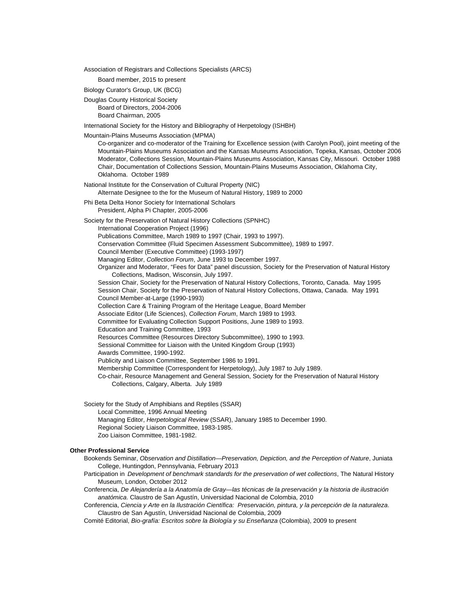Association of Registrars and Collections Specialists (ARCS)

Board member, 2015 to present

Biology Curator's Group, UK (BCG)

Douglas County Historical Society Board of Directors, 2004-2006 Board Chairman, 2005

International Society for the History and Bibliography of Herpetology (ISHBH)

Mountain-Plains Museums Association (MPMA)

Co-organizer and co-moderator of the Training for Excellence session (with Carolyn Pool), joint meeting of the Mountain-Plains Museums Association and the Kansas Museums Association, Topeka, Kansas, October 2006 Moderator, Collections Session, Mountain-Plains Museums Association, Kansas City, Missouri. October 1988 Chair, Documentation of Collections Session, Mountain-Plains Museums Association, Oklahoma City, Oklahoma. October 1989

National Institute for the Conservation of Cultural Property (NIC)

Alternate Designee to the for the Museum of Natural History, 1989 to 2000

Phi Beta Delta Honor Society for International Scholars

President, Alpha Pi Chapter, 2005-2006

Society for the Preservation of Natural History Collections (SPNHC)

International Cooperation Project (1996) Publications Committee, March 1989 to 1997 (Chair, 1993 to 1997).

Conservation Committee (Fluid Specimen Assessment Subcommittee), 1989 to 1997.

Council Member (Executive Committee) (1993-1997)

Managing Editor, *Collection Forum*, June 1993 to December 1997.

Organizer and Moderator, "Fees for Data" panel discussion, Society for the Preservation of Natural History Collections, Madison, Wisconsin, July 1997.

Session Chair, Society for the Preservation of Natural History Collections, Toronto, Canada. May 1995 Session Chair, Society for the Preservation of Natural History Collections, Ottawa, Canada. May 1991 Council Member-at-Large (1990-1993)

Collection Care & Training Program of the Heritage League, Board Member

Associate Editor (Life Sciences), *Collection Forum*, March 1989 to 1993.

Committee for Evaluating Collection Support Positions, June 1989 to 1993.

Education and Training Committee, 1993

Resources Committee (Resources Directory Subcommittee), 1990 to 1993.

Sessional Committee for Liaison with the United Kingdom Group (1993)

Awards Committee, 1990-1992.

Publicity and Liaison Committee, September 1986 to 1991.

Membership Committee (Correspondent for Herpetology), July 1987 to July 1989.

Co-chair, Resource Management and General Session, Society for the Preservation of Natural History Collections, Calgary, Alberta. July 1989

Society for the Study of Amphibians and Reptiles (SSAR)

Local Committee, 1996 Annual Meeting

- Managing Editor, *Herpetological Review* (SSAR), January 1985 to December 1990.
- Regional Society Liaison Committee, 1983-1985.
- Zoo Liaison Committee, 1981-1982.

# **Other Professional Service**

- Bookends Seminar, *Observation and Distillation—Preservation, Depiction, and the Perception of Nature*, Juniata College, Huntingdon, Pennsylvania, February 2013
- Participation in *Development of benchmark standards for the preservation of wet collections*, The Natural History Museum, London, October 2012

Conferencia, *De Alejandería a la Anatomía de Gray—las técnicas de la preservación y la historia de ilustración anatómica*. Claustro de San Agustín, Universidad Nacional de Colombia, 2010

Conferencia, *Ciencia y Arte en la Ilustración Científica: Preservación, pintura, y la percepción de la naturaleza*. Claustro de San Agustín, Universidad Nacional de Colombia, 2009

Comité Editorial, *Bio-grafía: Escritos sobre la Biología y su Enseñanza* (Colombia), 2009 to present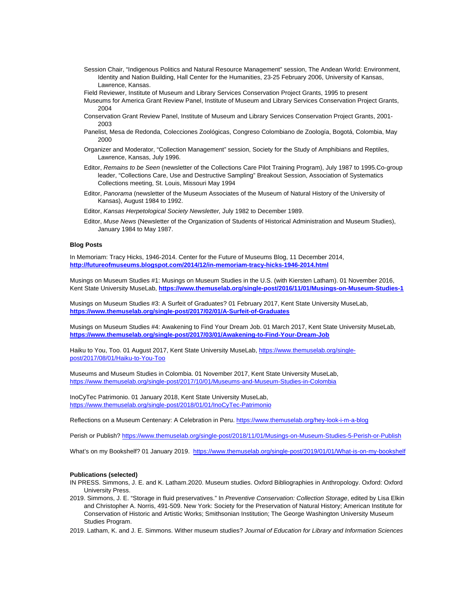- Session Chair, "Indigenous Politics and Natural Resource Management" session, The Andean World: Environment, Identity and Nation Building, Hall Center for the Humanities, 23-25 February 2006, University of Kansas, Lawrence, Kansas.
- Field Reviewer, Institute of Museum and Library Services Conservation Project Grants, 1995 to present
- Museums for America Grant Review Panel, Institute of Museum and Library Services Conservation Project Grants, 2004
- Conservation Grant Review Panel, Institute of Museum and Library Services Conservation Project Grants, 2001- 2003
- Panelist, Mesa de Redonda, Colecciones Zoológicas, Congreso Colombiano de Zoología, Bogotá, Colombia, May 2000
- Organizer and Moderator, "Collection Management" session, Society for the Study of Amphibians and Reptiles, Lawrence, Kansas, July 1996.
- Editor, *Remains to be Seen* (newsletter of the Collections Care Pilot Training Program), July 1987 to 1995.Co-group leader, "Collections Care, Use and Destructive Sampling" Breakout Session, Association of Systematics Collections meeting, St. Louis, Missouri May 1994
- Editor, *Panorama* (newsletter of the Museum Associates of the Museum of Natural History of the University of Kansas), August 1984 to 1992.
- Editor, *Kansas Herpetological Society Newsletter,* July 1982 to December 1989.
- Editor, *Muse News* (Newsletter of the Organization of Students of Historical Administration and Museum Studies), January 1984 to May 1987.

## **Blog Posts**

In Memoriam: Tracy Hicks, 1946-2014. Center for the Future of Museums Blog, 11 December 2014, **<http://futureofmuseums.blogspot.com/2014/12/in-memoriam-tracy-hicks-1946-2014.html>**

Musings on Museum Studies #1: Musings on Museum Studies in the U.S. (with Kiersten Latham). 01 November 2016, Kent State University MuseLab, **<https://www.themuselab.org/single-post/2016/11/01/Musings-on-Museum-Studies-1>**

Musings on Museum Studies #3: A Surfeit of Graduates? 01 February 2017, Kent State University MuseLab, **<https://www.themuselab.org/single-post/2017/02/01/A-Surfeit-of-Graduates>**

Musings on Museum Studies #4: Awakening to Find Your Dream Job. 01 March 2017, Kent State University MuseLab, **<https://www.themuselab.org/single-post/2017/03/01/Awakening-to-Find-Your-Dream-Job>**

Haiku to You, Too. 01 August 2017, Kent State University MuseLab, [https://www.themuselab.org/single](https://www.themuselab.org/single-post/2017/08/01/Haiku-to-You-Too)[post/2017/08/01/Haiku-to-You-Too](https://www.themuselab.org/single-post/2017/08/01/Haiku-to-You-Too)

Museums and Museum Studies in Colombia. 01 November 2017, Kent State University MuseLab, <https://www.themuselab.org/single-post/2017/10/01/Museums-and-Museum-Studies-in-Colombia>

InoCyTec Patrimonio. 01 January 2018, Kent State University MuseLab, <https://www.themuselab.org/single-post/2018/01/01/InoCyTec-Patrimonio>

Reflections on a Museum Centenary: A Celebration in Peru[. https://www.themuselab.org/hey-look-i-m-a-blog](https://www.themuselab.org/hey-look-i-m-a-blog)

Perish or Publish? <https://www.themuselab.org/single-post/2018/11/01/Musings-on-Museum-Studies-5-Perish-or-Publish>

What's on my Bookshelf? 01 January 2019. <https://www.themuselab.org/single-post/2019/01/01/What-is-on-my-bookshelf>

### **Publications (selected)**

- IN PRESS. Simmons, J. E. and K. Latham.2020. Museum studies. Oxford Bibliographies in Anthropology. Oxford: Oxford University Press.
- 2019. Simmons, J. E. "Storage in fluid preservatives." In *Preventive Conservation: Collection Storage*, edited by Lisa Elkin and Christopher A. Norris, 491-509. New York: Society for the Preservation of Natural History; American Institute for Conservation of Historic and Artistic Works; Smithsonian Institution; The George Washington University Museum Studies Program.

2019. Latham, K. and J. E. Simmons. Wither museum studies? *Journal of Education for Library and Information Sciences*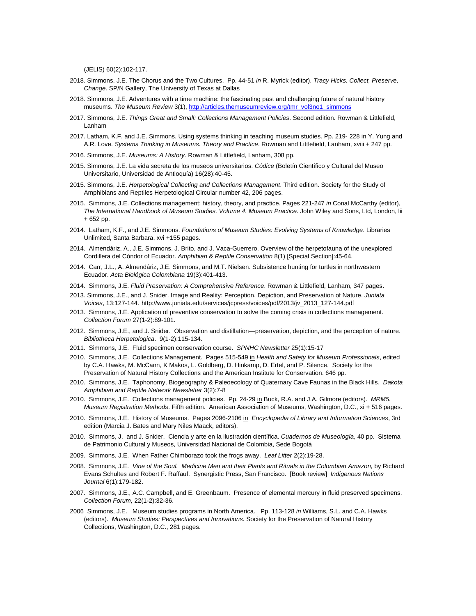(JELIS) 60(2):102-117.

- 2018. Simmons, J.E. The Chorus and the Two Cultures. Pp. 44-51 *in* R. Myrick (editor). *Tracy Hicks. Collect, Preserve, Change*. SP/N Gallery, The University of Texas at Dallas
- 2018. Simmons, J.E. Adventures with a time machine: the fascinating past and challenging future of natural history museums. *The Museum Review* 3(1), [http://articles.themuseumreview.org/tmr\\_vol3no1\\_simmons](http://articles.themuseumreview.org/tmr_vol3no1_simmons)
- 2017. Simmons, J.E. *Things Great and Small: Collections Management Policies*. Second edition. Rowman & Littlefield, Lanham
- 2017. Latham, K.F. and J.E. Simmons. Using systems thinking in teaching museum studies. Pp. 219- 228 in Y. Yung and A.R. Love. *Systems Thinking in Museums. Theory and Practice*. Rowman and Littlefield, Lanham, xviii + 247 pp.
- 2016. Simmons, J.E. *Museums: A History*. Rowman & Littlefield, Lanham, 308 pp.
- 2015. Simmons, J.E. La vida secreta de los museos universitarios. *Códice* (Boletín Científico y Cultural del Museo Universitario, Universidad de Antioquía) 16(28):40-45.
- 2015. Simmons, J.E. *Herpetological Collecting and Collections Management*. Third edition. Society for the Study of Amphibians and Reptiles Herpetological Circular number 42, 206 pages.
- 2015. Simmons, J.E. Collections management: history, theory, and practice. Pages 221-247 *in* Conal McCarthy (editor), *The International Handbook of Museum Studies. Volume 4. Museum Practice*. John Wiley and Sons, Ltd, London, lii + 652 pp.
- 2014. Latham, K.F., and J.E. Simmons. *Foundations of Museum Studies: Evolving Systems of Knowledge*. Libraries Unlimited, Santa Barbara, xvi +155 pages.
- 2014. Almendáriz, A., J.E. Simmons, J. Brito, and J. Vaca-Guerrero. Overview of the herpetofauna of the unexplored Cordillera del Cóndor of Ecuador. *Amphibian & Reptile Conservation* 8(1) [Special Section]:45-64.
- 2014. Carr, J.L., A. Almendáriz, J.E. Simmons, and M.T. Nielsen. Subsistence hunting for turtles in northwestern Ecuador. *Acta Biológica Colombiana* 19(3):401-413.
- 2014. Simmons, J.E. *Fluid Preservation: A Comprehensive Reference*. Rowman & Littlefield, Lanham, 347 pages.
- 2013. Simmons, J.E., and J. Snider. [Image and Reality: Perception, Depiction, and Preservation of Nature.](http://www.juniata.edu/services/jcpress/voices/pdf/2013/jv_2013_127-144.pdf) *Juniata Voices*, 13:127-144. http://www.juniata.edu/services/jcpress/voices/pdf/2013/jv\_2013\_127-144.pdf
- 2013. Simmons, J.E. Application of preventive conservation to solve the coming crisis in collections management. *Collection Forum* 27(1-2):89-101.
- 2012. Simmons, J.E., and J. Snider. Observation and distillation—preservation, depiction, and the perception of nature. *Bibliotheca Herpetologica*. 9(1-2):115-134.
- 2011. Simmons, J.E. Fluid specimen conservation course. *SPNHC Newsletter* 25(1):15-17
- 2010. Simmons, J.E. Collections Management. Pages 515-549 in *Health and Safety for Museum Professionals*, edited by C.A. Hawks, M. McCann, K Makos, L. Goldberg, D. Hinkamp, D. Ertel, and P. Silence. Society for the Preservation of Natural History Collections and the American Institute for Conservation. 646 pp.
- 2010. Simmons, J.E. Taphonomy, Biogeography & Paleoecology of Quaternary Cave Faunas in the Black Hills. *Dakota Amphibian and Reptile Network Newsletter* 3(2):7-8
- 2010. Simmons, J.E. Collections management policies. Pp. 24-29 in Buck, R.A. and J.A. Gilmore (editors). *MRM5. Museum Registration Methods*. Fifth edition. American Association of Museums, Washington, D.C., xi + 516 pages.
- 2010. Simmons, J.E. History of Museums. Pages 2096-2106 in *Encyclopedia of Library and Information Sciences*, 3rd edition (Marcia J. Bates and Mary Niles Maack, editors).
- 2010. Simmons, J. and J. Snider. Ciencia y arte en la ilustración científica. *[Cuadernos de Museología](http://www.museos.unal.edu.co/sccs/plantilla_3.php?id_subseccion=26&id_seccion=5)*, 40 pp. Sistema de Patrimonio Cultural y Museos, Universidad Nacional de Colombia, Sede Bogotá
- 2009. Simmons, J.E. When Father Chimborazo took the frogs away. *Leaf Litter* 2(2):19-28.
- 2008. Simmons, J.E. *Vine of the Soul. Medicine Men and their Plants and Rituals in the Colombian Amazon,* by Richard Evans Schultes and Robert F. Raffauf. Synergistic Press, San Francisco. [Book review] *Indigenous Nations Journal* 6(1):179-182.
- 2007. Simmons, J.E., A.C. Campbell, and E. Greenbaum. Presence of elemental mercury in fluid preserved specimens. *Collection Forum,* 22(1-2):32-36.
- 2006 Simmons, J.E. Museum studies programs in North America. Pp. 113-128 *in* Williams, S.L. and C.A. Hawks (editors). *Museum Studies: Perspectives and Innovations.* Society for the Preservation of Natural History Collections, Washington, D.C., 281 pages.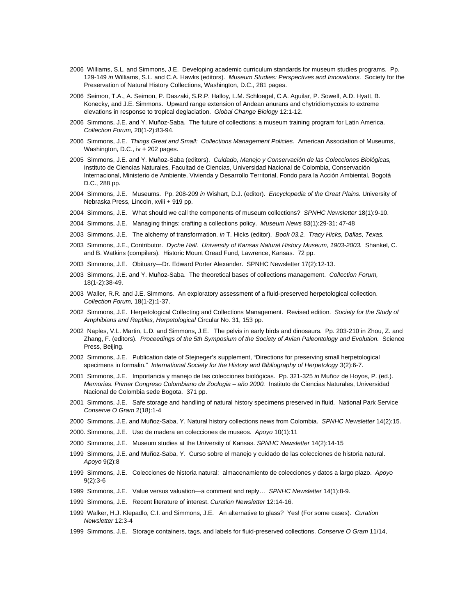- 2006 Williams, S.L. and Simmons, J.E. Developing academic curriculum standards for museum studies programs. Pp. 129-149 *in* Williams, S.L. and C.A. Hawks (editors). *Museum Studies: Perspectives and Innovations.* Society for the Preservation of Natural History Collections, Washington, D.C., 281 pages.
- 2006 Seimon, T.A., A. Seimon, P. Daszaki, S.R.P. Halloy, L.M. Schloegel, C.A. Aguilar, P. Sowell, A.D. Hyatt, B. Konecky, and J.E. Simmons. Upward range extension of Andean anurans and chytridiomycosis to extreme elevations in response to tropical deglaciation. *Global Change Biology* 12:1-12.
- 2006 Simmons, J.E. and Y. Muñoz-Saba. The future of collections: a museum training program for Latin America. *Collection Forum,* 20(1-2):83-94.
- 2006 Simmons, J.E. *Things Great and Small: Collections Management Policies.* American Association of Museums, Washington, D.C., iv + 202 pages.
- 2005 Simmons, J.E. and Y. Muñoz-Saba (editors). *Cuidado, Manejo y Conservación de las Colecciones Biológicas,*  Instituto de Ciencias Naturales, Facultad de Ciencias, Universidad Nacional de Colombia, Conservación Internacional, Ministerio de Ambiente, Vivienda y Desarrollo Territorial, Fondo para la Acción Ambiental, Bogotá D.C., 288 pp.
- 2004 Simmons, J.E. Museums. Pp. 208-209 *in* Wishart, D.J. (editor). *Encyclopedia of the Great Plains.* University of Nebraska Press, Lincoln, xviii + 919 pp.
- 2004 Simmons, J.E. What should we call the components of museum collections? *SPNHC Newsletter* 18(1):9-10.
- 2004 Simmons, J.E. Managing things: crafting a collections policy. *Museum News* 83(1):29-31; 47-48
- 2003 Simmons, J.E. The alchemy of transformation. *in* T. Hicks (editor). *Book 03.2. Tracy Hicks, Dallas, Texas.*
- 2003 Simmons, J.E., Contributor. *Dyche Hall. University of Kansas Natural History Museum, 1903-2003.* Shankel, C. and B. Watkins (compilers). Historic Mount Oread Fund, Lawrence, Kansas. 72 pp.
- 2003 Simmons, J.E. Obituary—Dr. Edward Porter Alexander. SPNHC Newsletter 17(2):12-13.
- 2003 Simmons, J.E. and Y. Muñoz-Saba. The theoretical bases of collections management. *Collection Forum,* 18(1-2):38-49.
- 2003 Waller, R.R. and J.E. Simmons. An exploratory assessment of a fluid-preserved herpetological collection. *Collection Forum,* 18(1-2):1-37.
- 2002 Simmons, J.E. Herpetological Collecting and Collections Management. Revised edition. *Society for the Study of Amphibians and Reptiles, Herpetological* Circular No. 31, 153 pp.
- 2002 Naples, V.L. Martin, L.D. and Simmons, J.E. The pelvis in early birds and dinosaurs. Pp. 203-210 in Zhou, Z. and Zhang, F. (editors). *Proceedings of the 5th Symposium of the Society of Avian Paleontology and Evolution.* Science Press, Beijing.
- 2002 Simmons, J.E. Publication date of Stejneger's supplement, "Directions for preserving small herpetological specimens in formalin." *International Society for the History and Bibliography of Herpetology* 3(2):6-7.
- 2001 Simmons, J.E. Importancia y manejo de las colecciones biológicas. Pp. 321-325 *in* Muñoz de Hoyos, P. (ed.). *Memorias. Primer Congreso Colombiano de Zoologia – año 2000.* Instituto de Ciencias Naturales, Universidad Nacional de Colombia sede Bogota. 371 pp.
- 2001 Simmons, J.E. Safe storage and handling of natural history specimens preserved in fluid. National Park Service *Conserve O Gram* 2(18):1-4
- 2000 Simmons, J.E. and Muñoz-Saba, Y. Natural history collections news from Colombia. *SPNHC Newsletter* 14(2):15.
- 2000. Simmons, J.E. Uso de madera en colecciones de museos. *Apoyo* 10(1):11
- 2000 Simmons, J.E. Museum studies at the University of Kansas. *SPNHC Newsletter* 14(2):14-15
- 1999 Simmons, J.E. and Muñoz-Saba, Y. Curso sobre el manejo y cuidado de las colecciones de historia natural. *Apoyo* 9(2):8
- 1999 Simmons, J.E. Colecciones de historia natural: almacenamiento de colecciones y datos a largo plazo. *Apoyo* 9(2):3-6
- 1999 Simmons, J.E. Value versus valuation—a comment and reply… *SPNHC Newsletter* 14(1):8-9.
- 1999 Simmons, J.E. Recent literature of interest. *Curation Newsletter* 12:14-16.
- 1999 Walker, H.J. Klepadlo, C.I. and Simmons, J.E. An alternative to glass? Yes! (For some cases). *Curation Newsletter* 12:3-4
- 1999 Simmons, J.E. Storage containers, tags, and labels for fluid-preserved collections. *Conserve O Gram* 11/14,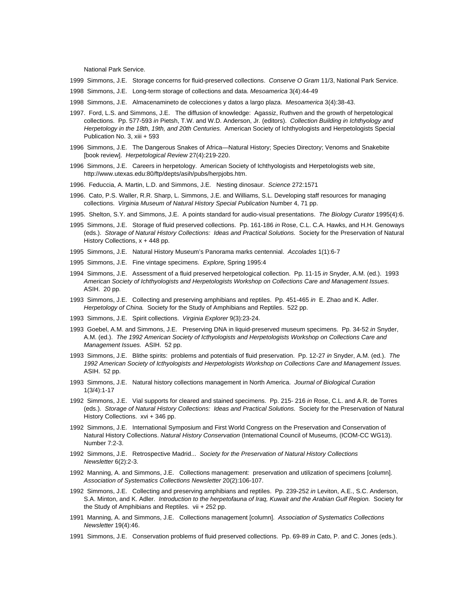National Park Service.

- 1999 Simmons, J.E. Storage concerns for fluid-preserved collections. *Conserve O Gram* 11/3, National Park Service.
- 1998 Simmons, J.E. Long-term storage of collections and data. *Mesoamerica* 3(4):44-49
- 1998 Simmons, J.E. Almacenamineto de colecciones y datos a largo plaza. *Mesoamerica* 3(4):38-43.
- 1997. Ford, L.S. and Simmons, J.E. The diffusion of knowledge: Agassiz, Ruthven and the growth of herpetological collections. Pp. 577-593 *in* Pietsh, T.W. and W.D. Anderson, Jr. (editors). *Collection Building in Ichthyology and Herpetology in the 18th, 19th, and 20th Centuries.* American Society of Ichthyologists and Herpetologists Special Publication No. 3, xiii + 593
- 1996 Simmons, J.E. The Dangerous Snakes of Africa—Natural History; Species Directory; Venoms and Snakebite [book review]. *Herpetological Review* 27(4):219-220.
- 1996 Simmons, J.E. Careers in herpetology. American Society of Ichthyologists and Herpetologists web site, http://www.utexas.edu:80/ftp/depts/asih/pubs/herpjobs.htm.
- 1996. Feduccia, A. Martin, L.D. and Simmons, J.E. Nesting dinosaur. *Science* 272:1571
- 1996. Cato, P.S. Waller, R.R. Sharp, L. Simmons, J.E. and Williams, S.L. Developing staff resources for managing collections. *Virginia Museum of Natural History Special Publication* Number 4, 71 pp.
- 1995. Shelton, S.Y. and Simmons, J.E. A points standard for audio-visual presentations. *The Biology Curator* 1995(4):6.
- 1995 Simmons, J.E. Storage of fluid preserved collections. Pp. 161-186 *in* Rose, C.L. C.A. Hawks, and H.H. Genoways (eds.). *Storage of Natural History Collections: Ideas and Practical Solutions.* Society for the Preservation of Natural History Collections, x + 448 pp.
- 1995 Simmons, J.E. Natural History Museum's Panorama marks centennial. *Accolades* 1(1):6-7
- 1995 Simmons, J.E. Fine vintage specimens. *Explore,* Spring 1995:4
- 1994 Simmons, J.E. Assessment of a fluid preserved herpetological collection. Pp. 11-15 *in* Snyder, A.M. (ed.). 1993 *American Society of Ichthyologists and Herpetologists Workshop on Collections Care and Management Issues.* ASIH. 20 pp.
- 1993 Simmons, J.E. Collecting and preserving amphibians and reptiles. Pp. 451-465 *in* E. Zhao and K. Adler. *Herpetology of China.* Society for the Study of Amphibians and Reptiles. 522 pp.
- 1993 Simmons, J.E. Spirit collections. *Virginia Explorer* 9(3):23-24.
- 1993 Goebel, A.M. and Simmons, J.E. Preserving DNA in liquid-preserved museum specimens. Pp. 34-52 *in* Snyder, A.M. (ed.). *The 1992 American Society of Icthyologists and Herpetologists Workshop on Collections Care and Management Issues.* ASIH. 52 pp.
- 1993 Simmons, J.E. Blithe spirits: problems and potentials of fluid preservation. Pp. 12-27 *in* Snyder, A.M. (ed.). *The 1992 American Society of Icthyologists and Herpetologists Workshop on Collections Care and Management Issues.* ASIH. 52 pp.
- 1993 Simmons, J.E. Natural history collections management in North America. *Journal of Biological Curation*  1(3/4):1-17
- 1992 Simmons, J.E. Vial supports for cleared and stained specimens. Pp. 215- 216 *in* Rose, C.L. and A.R. de Torres (eds.). *Storage of Natural History Collections: Ideas and Practical Solutions.* Society for the Preservation of Natural History Collections. xvi + 346 pp.
- 1992 Simmons, J.E. International Symposium and First World Congress on the Preservation and Conservation of Natural History Collections. *Natural History Conservation* (International Council of Museums, (ICOM-CC WG13). Number 7:2-3.
- 1992 Simmons, J.E. Retrospective Madrid... *Society for the Preservation of Natural History Collections Newsletter* 6(2):2-3.
- 1992 Manning, A. and Simmons, J.E. Collections management: preservation and utilization of specimens [column]. *Association of Systematics Collections Newsletter* 20(2):106-107.
- 1992 Simmons, J.E. Collecting and preserving amphibians and reptiles. Pp. 239-252 *in* Leviton, A.E., S.C. Anderson, S.A. Minton, and K. Adler. *Introduction to the herpetofauna of Iraq, Kuwait and the Arabian Gulf Region.* Society for the Study of Amphibians and Reptiles. vii + 252 pp.
- 1991 Manning, A. and Simmons, J.E. Collections management [column]. *Association of Systematics Collections Newsletter* 19(4):46.
- 1991 Simmons, J.E. Conservation problems of fluid preserved collections. Pp. 69-89 *in* Cato, P. and C. Jones (eds.).